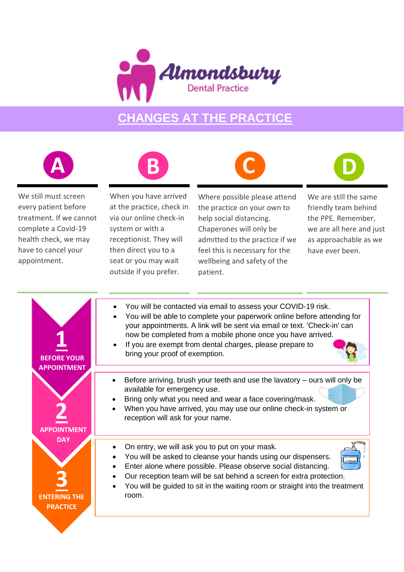

## **CHANGES AT THE PRACTICE**







We still must screen every patient before treatment. If we cannot complete a Covid-19 health check, we may have to cancel your appointment.

When you have arrived at the practice, check in via our online check-in system or with a receptionist. They will then direct you to a seat or you may wait outside if you prefer.

Where possible please attend the practice on your own to help social distancing. Chaperones will only be admitted to the practice if we feel this is necessary for the wellbeing and safety of the patient.



| <b>BEFORE YOUR</b>                                   | You will be contacted via email to assess your COVID-19 risk.<br>You will be able to complete your paperwork online before attending for<br>your appointments. A link will be sent via email or text. 'Check-in' can<br>now be completed from a mobile phone once you have arrived.<br>If you are exempt from dental charges, please prepare to<br>bring your proof of exemption. |
|------------------------------------------------------|-----------------------------------------------------------------------------------------------------------------------------------------------------------------------------------------------------------------------------------------------------------------------------------------------------------------------------------------------------------------------------------|
| <b>APPOINTMENT</b>                                   | Before arriving, brush your teeth and use the lavatory $-$ ours will only be<br>available for emergency use.<br>Bring only what you need and wear a face covering/mask.<br>When you have arrived, you may use our online check-in system or<br>reception will ask for your name.                                                                                                  |
| <b>DAY</b><br><b>FNTFRING THF</b><br><b>PRACTICE</b> | On entry, we will ask you to put on your mask.<br>You will be asked to cleanse your hands using our dispensers.<br>Enter alone where possible. Please observe social distancing.<br>Our reception team will be sat behind a screen for extra protection.<br>You will be guided to sit in the waiting room or straight into the treatment<br>room.                                 |